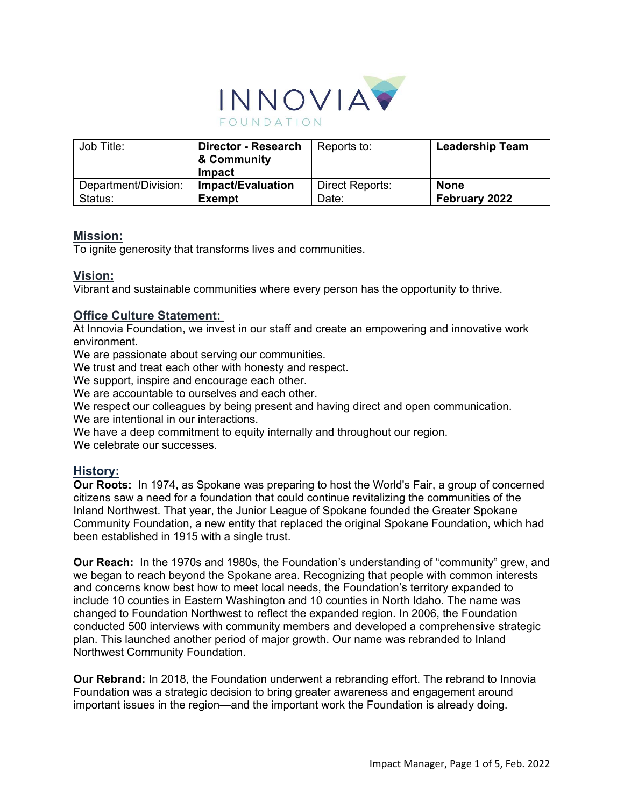

| Job Title:           | <b>Director - Research</b><br>& Community<br><b>Impact</b> | Reports to:     | <b>Leadership Team</b> |
|----------------------|------------------------------------------------------------|-----------------|------------------------|
| Department/Division: | Impact/Evaluation                                          | Direct Reports: | <b>None</b>            |
| Status:              | <b>Exempt</b>                                              | Date:           | February 2022          |

### **Mission:**

To ignite generosity that transforms lives and communities.

#### **Vision:**

Vibrant and sustainable communities where every person has the opportunity to thrive.

## **Office Culture Statement:**

At Innovia Foundation, we invest in our staff and create an empowering and innovative work environment.

We are passionate about serving our communities.

We trust and treat each other with honesty and respect.

We support, inspire and encourage each other.

We are accountable to ourselves and each other.

We respect our colleagues by being present and having direct and open communication. We are intentional in our interactions.

We have a deep commitment to equity internally and throughout our region.

We celebrate our successes.

### **History:**

**Our Roots:** In 1974, as Spokane was preparing to host the World's Fair, a group of concerned citizens saw a need for a foundation that could continue revitalizing the communities of the Inland Northwest. That year, the Junior League of Spokane founded the Greater Spokane Community Foundation, a new entity that replaced the original Spokane Foundation, which had been established in 1915 with a single trust. 

**Our Reach:** In the 1970s and 1980s, the Foundation's understanding of "community" grew, and we began to reach beyond the Spokane area. Recognizing that people with common interests and concerns know best how to meet local needs, the Foundation's territory expanded to include 10 counties in Eastern Washington and 10 counties in North Idaho. The name was changed to Foundation Northwest to reflect the expanded region. In 2006, the Foundation conducted 500 interviews with community members and developed a comprehensive strategic plan. This launched another period of major growth. Our name was rebranded to Inland Northwest Community Foundation.

**Our Rebrand:** In 2018, the Foundation underwent a rebranding effort. The rebrand to Innovia Foundation was a strategic decision to bring greater awareness and engagement around important issues in the region—and the important work the Foundation is already doing.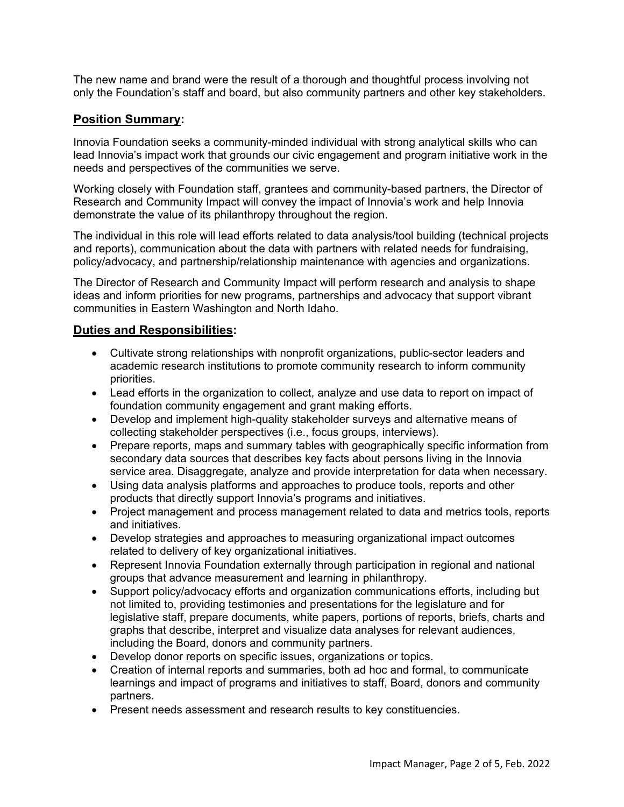The new name and brand were the result of a thorough and thoughtful process involving not only the Foundation's staff and board, but also community partners and other key stakeholders.

# **Position Summary:**

Innovia Foundation seeks a community-minded individual with strong analytical skills who can lead Innovia's impact work that grounds our civic engagement and program initiative work in the needs and perspectives of the communities we serve.

Working closely with Foundation staff, grantees and community-based partners, the Director of Research and Community Impact will convey the impact of Innovia's work and help Innovia demonstrate the value of its philanthropy throughout the region.

The individual in this role will lead efforts related to data analysis/tool building (technical projects and reports), communication about the data with partners with related needs for fundraising, policy/advocacy, and partnership/relationship maintenance with agencies and organizations.

The Director of Research and Community Impact will perform research and analysis to shape ideas and inform priorities for new programs, partnerships and advocacy that support vibrant communities in Eastern Washington and North Idaho.

## **Duties and Responsibilities:**

- Cultivate strong relationships with nonprofit organizations, public-sector leaders and academic research institutions to promote community research to inform community priorities.
- Lead efforts in the organization to collect, analyze and use data to report on impact of foundation community engagement and grant making efforts.
- Develop and implement high-quality stakeholder surveys and alternative means of collecting stakeholder perspectives (i.e., focus groups, interviews).
- Prepare reports, maps and summary tables with geographically specific information from secondary data sources that describes key facts about persons living in the Innovia service area. Disaggregate, analyze and provide interpretation for data when necessary.
- Using data analysis platforms and approaches to produce tools, reports and other products that directly support Innovia's programs and initiatives.
- Project management and process management related to data and metrics tools, reports and initiatives.
- Develop strategies and approaches to measuring organizational impact outcomes related to delivery of key organizational initiatives.
- Represent Innovia Foundation externally through participation in regional and national groups that advance measurement and learning in philanthropy.
- Support policy/advocacy efforts and organization communications efforts, including but not limited to, providing testimonies and presentations for the legislature and for legislative staff, prepare documents, white papers, portions of reports, briefs, charts and graphs that describe, interpret and visualize data analyses for relevant audiences, including the Board, donors and community partners.
- Develop donor reports on specific issues, organizations or topics.
- Creation of internal reports and summaries, both ad hoc and formal, to communicate learnings and impact of programs and initiatives to staff, Board, donors and community partners.
- Present needs assessment and research results to key constituencies.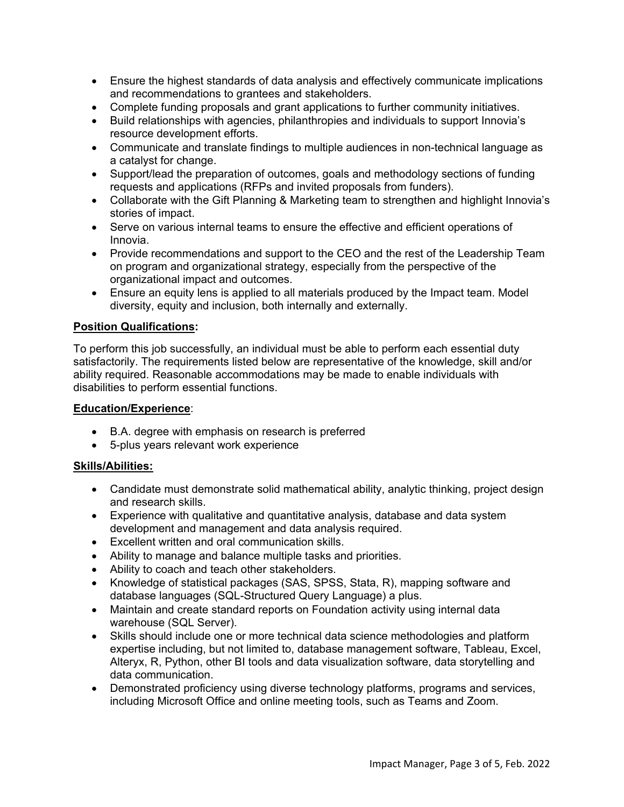- Ensure the highest standards of data analysis and effectively communicate implications and recommendations to grantees and stakeholders.
- Complete funding proposals and grant applications to further community initiatives.
- Build relationships with agencies, philanthropies and individuals to support Innovia's resource development efforts.
- Communicate and translate findings to multiple audiences in non-technical language as a catalyst for change.
- Support/lead the preparation of outcomes, goals and methodology sections of funding requests and applications (RFPs and invited proposals from funders).
- Collaborate with the Gift Planning & Marketing team to strengthen and highlight Innovia's stories of impact.
- Serve on various internal teams to ensure the effective and efficient operations of Innovia.
- Provide recommendations and support to the CEO and the rest of the Leadership Team on program and organizational strategy, especially from the perspective of the organizational impact and outcomes.
- Ensure an equity lens is applied to all materials produced by the Impact team. Model diversity, equity and inclusion, both internally and externally.

## **Position Qualifications:**

To perform this job successfully, an individual must be able to perform each essential duty satisfactorily. The requirements listed below are representative of the knowledge, skill and/or ability required. Reasonable accommodations may be made to enable individuals with disabilities to perform essential functions.

#### **Education/Experience**:

- B.A. degree with emphasis on research is preferred
- 5-plus years relevant work experience

### **Skills/Abilities:**

- Candidate must demonstrate solid mathematical ability, analytic thinking, project design and research skills.
- Experience with qualitative and quantitative analysis, database and data system development and management and data analysis required.
- Excellent written and oral communication skills.
- Ability to manage and balance multiple tasks and priorities.
- Ability to coach and teach other stakeholders.
- Knowledge of statistical packages (SAS, SPSS, Stata, R), mapping software and database languages (SQL-Structured Query Language) a plus.
- Maintain and create standard reports on Foundation activity using internal data warehouse (SQL Server).
- Skills should include one or more technical data science methodologies and platform expertise including, but not limited to, database management software, Tableau, Excel, Alteryx, R, Python, other BI tools and data visualization software, data storytelling and data communication.
- Demonstrated proficiency using diverse technology platforms, programs and services, including Microsoft Office and online meeting tools, such as Teams and Zoom.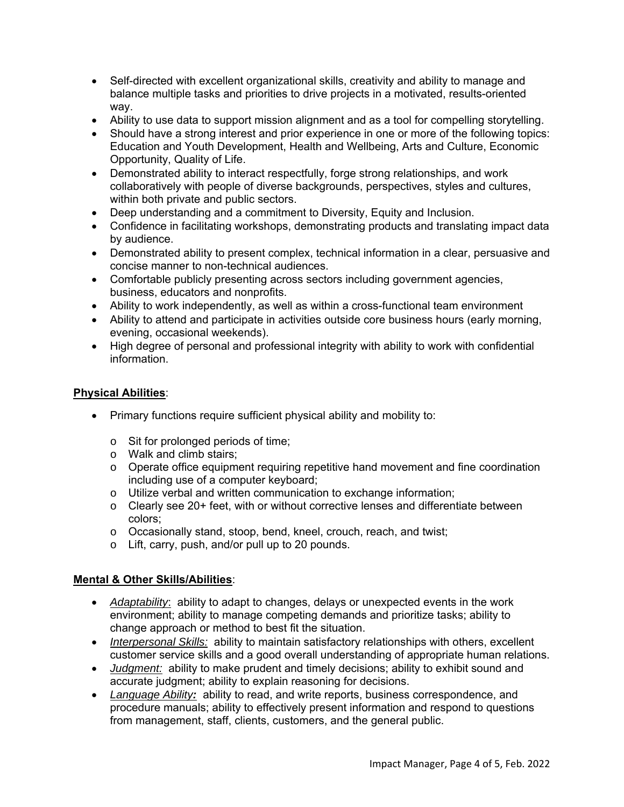- Self-directed with excellent organizational skills, creativity and ability to manage and balance multiple tasks and priorities to drive projects in a motivated, results-oriented way.
- Ability to use data to support mission alignment and as a tool for compelling storytelling.
- Should have a strong interest and prior experience in one or more of the following topics: Education and Youth Development, Health and Wellbeing, Arts and Culture, Economic Opportunity, Quality of Life.
- Demonstrated ability to interact respectfully, forge strong relationships, and work collaboratively with people of diverse backgrounds, perspectives, styles and cultures, within both private and public sectors.
- Deep understanding and a commitment to Diversity, Equity and Inclusion.
- Confidence in facilitating workshops, demonstrating products and translating impact data by audience.
- Demonstrated ability to present complex, technical information in a clear, persuasive and concise manner to non-technical audiences.
- Comfortable publicly presenting across sectors including government agencies, business, educators and nonprofits.
- Ability to work independently, as well as within a cross-functional team environment
- Ability to attend and participate in activities outside core business hours (early morning, evening, occasional weekends).
- High degree of personal and professional integrity with ability to work with confidential information.

### **Physical Abilities**:

- Primary functions require sufficient physical ability and mobility to:
	- o Sit for prolonged periods of time;
	- o Walk and climb stairs;
	- o Operate office equipment requiring repetitive hand movement and fine coordination including use of a computer keyboard;
	- o Utilize verbal and written communication to exchange information;
	- o Clearly see 20+ feet, with or without corrective lenses and differentiate between colors;
	- o Occasionally stand, stoop, bend, kneel, crouch, reach, and twist;
	- o Lift, carry, push, and/or pull up to 20 pounds.

### **Mental & Other Skills/Abilities**:

- *Adaptability*: ability to adapt to changes, delays or unexpected events in the work environment; ability to manage competing demands and prioritize tasks; ability to change approach or method to best fit the situation.
- *Interpersonal Skills:* ability to maintain satisfactory relationships with others, excellent customer service skills and a good overall understanding of appropriate human relations.
- *Judgment:* ability to make prudent and timely decisions; ability to exhibit sound and accurate judgment; ability to explain reasoning for decisions.
- *Language Ability:* ability to read, and write reports, business correspondence, and procedure manuals; ability to effectively present information and respond to questions from management, staff, clients, customers, and the general public.